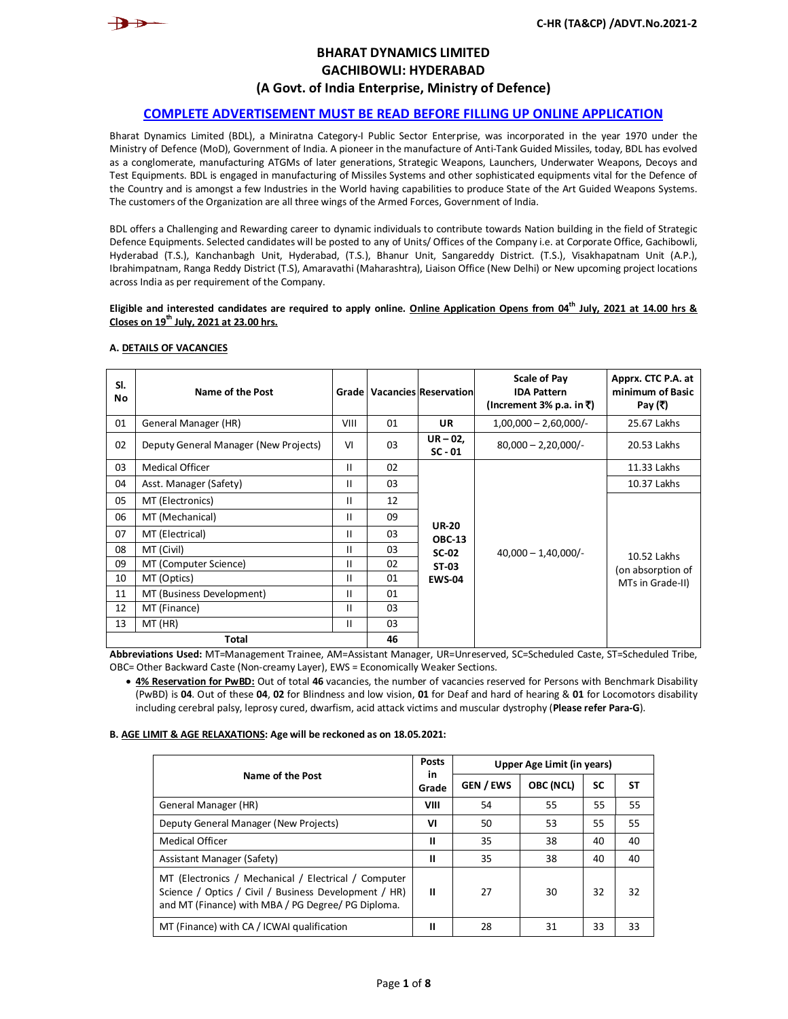

# **BHARAT DYNAMICS LIMITED GACHIBOWLI: HYDERABAD (A Govt. of India Enterprise, Ministry of Defence)**

# **COMPLETE ADVERTISEMENT MUST BE READ BEFORE FILLING UP ONLINE APPLICATION**

Bharat Dynamics Limited (BDL), a Miniratna Category-I Public Sector Enterprise, was incorporated in the year 1970 under the Ministry of Defence (MoD), Government of India. A pioneer in the manufacture of Anti-Tank Guided Missiles, today, BDL has evolved as a conglomerate, manufacturing ATGMs of later generations, Strategic Weapons, Launchers, Underwater Weapons, Decoys and Test Equipments. BDL is engaged in manufacturing of Missiles Systems and other sophisticated equipments vital for the Defence of the Country and is amongst a few Industries in the World having capabilities to produce State of the Art Guided Weapons Systems. The customers of the Organization are all three wings of the Armed Forces, Government of India.

BDL offers a Challenging and Rewarding career to dynamic individuals to contribute towards Nation building in the field of Strategic Defence Equipments. Selected candidates will be posted to any of Units/ Offices of the Company i.e. at Corporate Office, Gachibowli, Hyderabad (T.S.), Kanchanbagh Unit, Hyderabad, (T.S.), Bhanur Unit, Sangareddy District. (T.S.), Visakhapatnam Unit (A.P.), Ibrahimpatnam, Ranga Reddy District (T.S), Amaravathi (Maharashtra), Liaison Office (New Delhi) or New upcoming project locations across India as per requirement of the Company.

### **Eligible and interested candidates are required to apply online. Online Application Opens from 04 th July, 2021 at 14.00 hrs & Closes on 19th July, 2021 at 23.00 hrs.**

| SI.<br>No | Name of the Post                                                                                                                |      |    | <b>Grade   Vacancies Reservation</b> | <b>Scale of Pay</b><br><b>IDA Pattern</b><br>(Increment 3% p.a. in ₹) | Apprx. CTC P.A. at<br>minimum of Basic<br>Pay (₹) |
|-----------|---------------------------------------------------------------------------------------------------------------------------------|------|----|--------------------------------------|-----------------------------------------------------------------------|---------------------------------------------------|
| 01        | General Manager (HR)                                                                                                            | VIII | 01 | <b>UR</b>                            | $1,00,000 - 2,60,000$ /-                                              | 25.67 Lakhs                                       |
| 02        | Deputy General Manager (New Projects)                                                                                           | VI   | 03 | $UR-02$ ,<br>$SC - 01$               | $80,000 - 2,20,000$ /-                                                | 20.53 Lakhs                                       |
| 03        | <b>Medical Officer</b>                                                                                                          | Ш    | 02 |                                      |                                                                       | 11.33 Lakhs                                       |
| 04        | Asst. Manager (Safety)                                                                                                          | Ш    | 03 |                                      |                                                                       | 10.37 Lakhs                                       |
| 05        | MT (Electronics)                                                                                                                | Ш    | 12 |                                      |                                                                       |                                                   |
| 06        | MT (Mechanical)                                                                                                                 | Ш    | 09 |                                      |                                                                       |                                                   |
| 07        | MT (Electrical)                                                                                                                 | Ш    | 03 | <b>UR-20</b><br><b>OBC-13</b>        |                                                                       |                                                   |
| 08        | MT (Civil)                                                                                                                      | Ш    | 03 | $SC-02$                              | $40,000 - 1,40,000/$ -                                                | 10.52 Lakhs                                       |
| 09        | MT (Computer Science)                                                                                                           | Ш    | 02 | ST-03                                |                                                                       | (on absorption of                                 |
| 10        | MT (Optics)                                                                                                                     | Ш    | 01 | <b>EWS-04</b>                        |                                                                       | MTs in Grade-II)                                  |
| 11        | MT (Business Development)                                                                                                       | Ш    | 01 |                                      |                                                                       |                                                   |
| 12        | MT (Finance)                                                                                                                    | Ш    | 03 |                                      |                                                                       |                                                   |
| 13        | MT (HR)                                                                                                                         | Ш    | 03 |                                      |                                                                       |                                                   |
|           | Total<br>Abbusidations Used: MAT-Managament Troinee, MA-Macidont Managan, UD-Unroconical CC-Cabaduled Costo, CT-Cabaduled Tribe |      | 46 |                                      |                                                                       |                                                   |

### **A. DETAILS OF VACANCIES**

**Abbreviations Used:** MT=Management Trainee, AM=Assistant Manager, UR=Unreserved, SC=Scheduled Caste, ST=Scheduled Tribe, OBC= Other Backward Caste (Non-creamy Layer), EWS = Economically Weaker Sections.

 **4% Reservation for PwBD:** Out of total **46** vacancies, the number of vacancies reserved for Persons with Benchmark Disability (PwBD) is **04**. Out of these **04**, **02** for Blindness and low vision, **01** for Deaf and hard of hearing & **01** for Locomotors disability including cerebral palsy, leprosy cured, dwarfism, acid attack victims and muscular dystrophy (**Please refer Para-G**).

### **B. AGE LIMIT & AGE RELAXATIONS: Age will be reckoned as on 18.05.2021:**

| Name of the Post                                                                                                                                                    |      | Upper Age Limit (in years) |           |           |    |  |
|---------------------------------------------------------------------------------------------------------------------------------------------------------------------|------|----------------------------|-----------|-----------|----|--|
|                                                                                                                                                                     |      | <b>GEN / EWS</b>           | OBC (NCL) | <b>SC</b> | SΤ |  |
| General Manager (HR)                                                                                                                                                | VIII | 54                         | 55        | 55        | 55 |  |
| Deputy General Manager (New Projects)                                                                                                                               | VI   | 50                         | 53        | 55        | 55 |  |
| <b>Medical Officer</b>                                                                                                                                              | Ш    | 35                         | 38        | 40        | 40 |  |
| Assistant Manager (Safety)                                                                                                                                          | Ш    | 35                         | 38        | 40        | 40 |  |
| MT (Electronics / Mechanical / Electrical / Computer<br>Science / Optics / Civil / Business Development / HR)<br>and MT (Finance) with MBA / PG Degree/ PG Diploma. | п    | 27                         | 30        | 32        | 32 |  |
| MT (Finance) with CA / ICWAI qualification                                                                                                                          | Ш    | 28                         | 31        | 33        | 33 |  |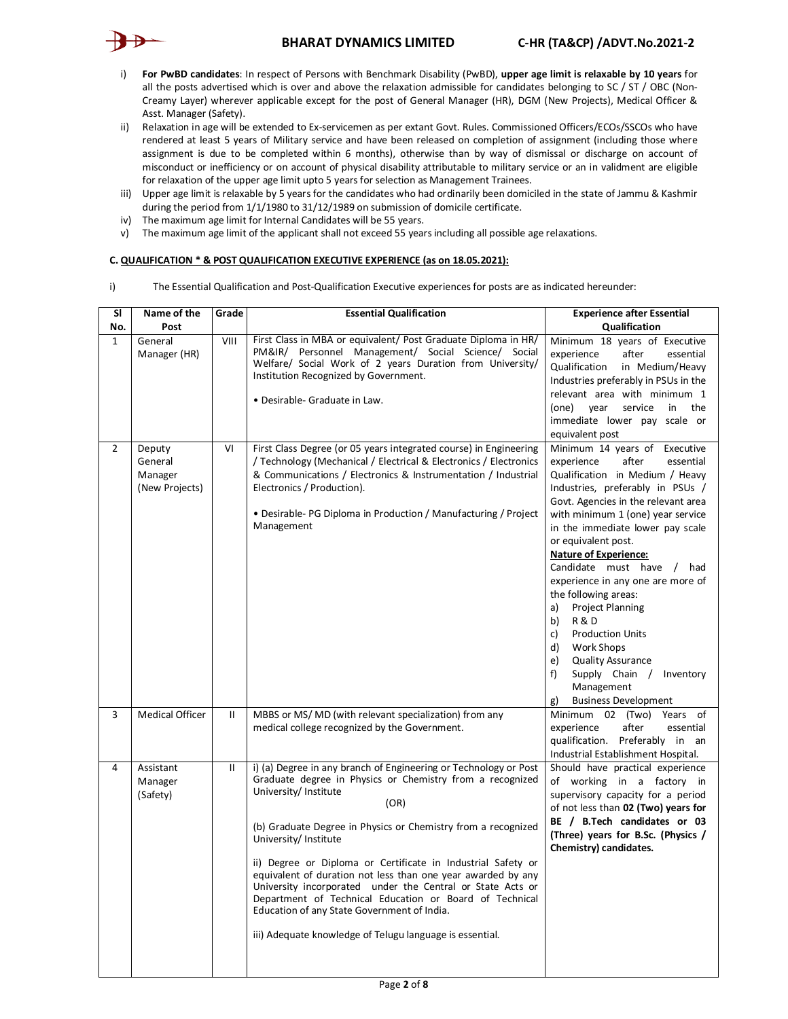# **BHARAT DYNAMICS LIMITED C-HR (TA&CP) /ADVT.No.2021-2**



- i) **For PwBD candidates**: In respect of Persons with Benchmark Disability (PwBD), **upper age limit is relaxable by 10 years** for all the posts advertised which is over and above the relaxation admissible for candidates belonging to SC / ST / OBC (Non-Creamy Layer) wherever applicable except for the post of General Manager (HR), DGM (New Projects), Medical Officer & Asst. Manager (Safety).
- ii) Relaxation in age will be extended to Ex-servicemen as per extant Govt. Rules. Commissioned Officers/ECOs/SSCOs who have rendered at least 5 years of Military service and have been released on completion of assignment (including those where assignment is due to be completed within 6 months), otherwise than by way of dismissal or discharge on account of misconduct or inefficiency or on account of physical disability attributable to military service or an in validment are eligible for relaxation of the upper age limit upto 5 years for selection as Management Trainees.
- iii) Upper age limit is relaxable by 5 years for the candidates who had ordinarily been domiciled in the state of Jammu & Kashmir during the period from 1/1/1980 to 31/12/1989 on submission of domicile certificate.
- iv) The maximum age limit for Internal Candidates will be 55 years.
- v) The maximum age limit of the applicant shall not exceed 55 years including all possible age relaxations.

## **C. QUALIFICATION \* & POST QUALIFICATION EXECUTIVE EXPERIENCE (as on 18.05.2021):**

i) The Essential Qualification and Post-Qualification Executive experiences for posts are as indicated hereunder:

| <b>SI</b>      | Name of the                                    | Grade        | <b>Essential Qualification</b>                                                                                                                                                                                                                                                                                                                                                                                                                                                                                                                                                                                               | <b>Experience after Essential</b>                                                                                                                                                                                                                                                                                                                                                                                                                                                                                                                                                                                                              |  |  |
|----------------|------------------------------------------------|--------------|------------------------------------------------------------------------------------------------------------------------------------------------------------------------------------------------------------------------------------------------------------------------------------------------------------------------------------------------------------------------------------------------------------------------------------------------------------------------------------------------------------------------------------------------------------------------------------------------------------------------------|------------------------------------------------------------------------------------------------------------------------------------------------------------------------------------------------------------------------------------------------------------------------------------------------------------------------------------------------------------------------------------------------------------------------------------------------------------------------------------------------------------------------------------------------------------------------------------------------------------------------------------------------|--|--|
| No.            | Post                                           |              |                                                                                                                                                                                                                                                                                                                                                                                                                                                                                                                                                                                                                              | Qualification                                                                                                                                                                                                                                                                                                                                                                                                                                                                                                                                                                                                                                  |  |  |
| $\mathbf{1}$   | General<br>Manager (HR)                        | VIII         | First Class in MBA or equivalent/ Post Graduate Diploma in HR/<br>PM&IR/ Personnel Management/ Social Science/ Social<br>Welfare/ Social Work of 2 years Duration from University/<br>Institution Recognized by Government.<br>• Desirable- Graduate in Law.                                                                                                                                                                                                                                                                                                                                                                 | Minimum 18 years of Executive<br>after<br>experience<br>essential<br>Qualification<br>in Medium/Heavy<br>Industries preferably in PSUs in the<br>relevant area with minimum 1<br>(one) year<br>service<br>in the<br>immediate lower pay scale or<br>equivalent post                                                                                                                                                                                                                                                                                                                                                                            |  |  |
| $\overline{2}$ | Deputy<br>General<br>Manager<br>(New Projects) | VI           | First Class Degree (or 05 years integrated course) in Engineering<br>Technology (Mechanical / Electrical & Electronics / Electronics<br>& Communications / Electronics & Instrumentation / Industrial<br>Electronics / Production).<br>• Desirable- PG Diploma in Production / Manufacturing / Project<br>Management                                                                                                                                                                                                                                                                                                         | Minimum 14 years of Executive<br>experience<br>after<br>essential<br>Qualification in Medium / Heavy<br>Industries, preferably in PSUs /<br>Govt. Agencies in the relevant area<br>with minimum 1 (one) year service<br>in the immediate lower pay scale<br>or equivalent post.<br><b>Nature of Experience:</b><br>Candidate must have / had<br>experience in any one are more of<br>the following areas:<br>a)<br><b>Project Planning</b><br><b>R&amp;D</b><br>b)<br><b>Production Units</b><br>c)<br>Work Shops<br>d)<br>e)<br><b>Quality Assurance</b><br>Supply Chain / Inventory<br>f)<br>Management<br><b>Business Development</b><br>g) |  |  |
| 3              | <b>Medical Officer</b>                         | $\mathbf{H}$ | MBBS or MS/MD (with relevant specialization) from any<br>medical college recognized by the Government.                                                                                                                                                                                                                                                                                                                                                                                                                                                                                                                       | Minimum 02 (Two) Years of<br>experience<br>after<br>essential<br>qualification. Preferably in an<br>Industrial Establishment Hospital.                                                                                                                                                                                                                                                                                                                                                                                                                                                                                                         |  |  |
| 4              | Assistant<br>Manager<br>(Safety)               | $\mathbf{H}$ | i) (a) Degree in any branch of Engineering or Technology or Post<br>Graduate degree in Physics or Chemistry from a recognized<br>University/ Institute<br>(OR)<br>(b) Graduate Degree in Physics or Chemistry from a recognized<br>University/ Institute<br>ii) Degree or Diploma or Certificate in Industrial Safety or<br>equivalent of duration not less than one year awarded by any<br>University incorporated under the Central or State Acts or<br>Department of Technical Education or Board of Technical<br>Education of any State Government of India.<br>iii) Adequate knowledge of Telugu language is essential. | Should have practical experience<br>of working in a factory in<br>supervisory capacity for a period<br>of not less than 02 (Two) years for<br>BE / B.Tech candidates or 03<br>(Three) years for B.Sc. (Physics /<br>Chemistry) candidates.                                                                                                                                                                                                                                                                                                                                                                                                     |  |  |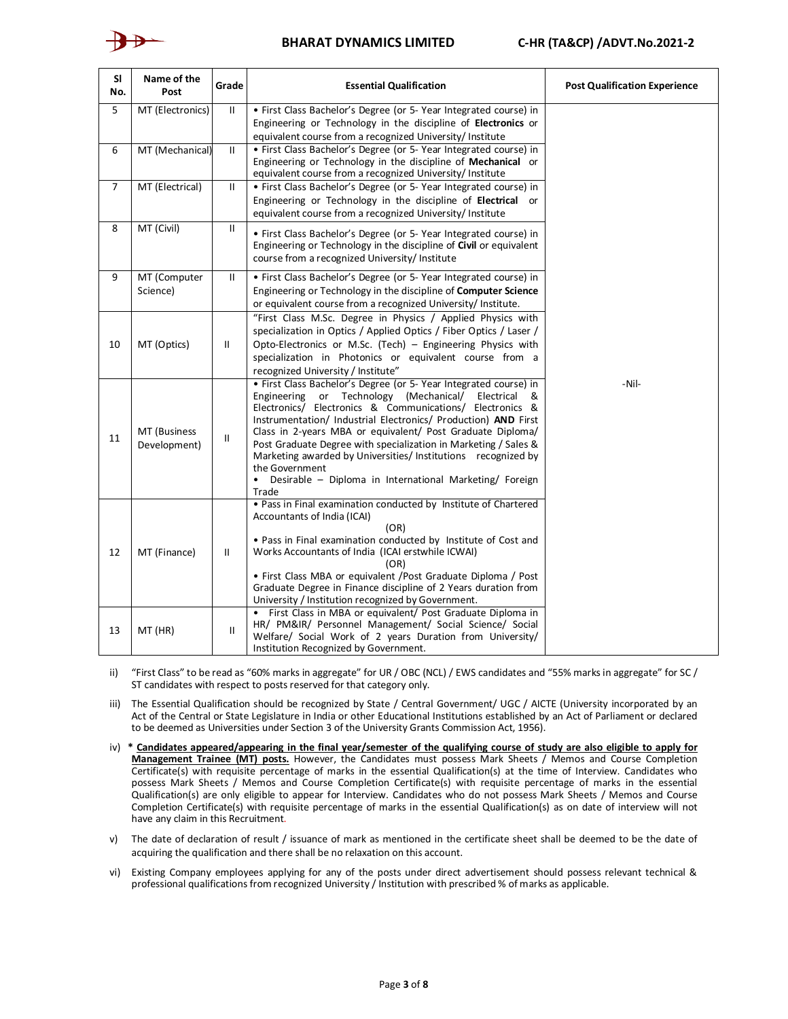

| <b>SI</b><br>No. | Name of the<br>Post          | Grade         | <b>Essential Qualification</b>                                                                                                                                                                                                                                                                                                                                                                                                                                                                                                                                       | <b>Post Qualification Experience</b> |
|------------------|------------------------------|---------------|----------------------------------------------------------------------------------------------------------------------------------------------------------------------------------------------------------------------------------------------------------------------------------------------------------------------------------------------------------------------------------------------------------------------------------------------------------------------------------------------------------------------------------------------------------------------|--------------------------------------|
| 5                | MT (Electronics)             | $\mathbf{H}$  | • First Class Bachelor's Degree (or 5- Year Integrated course) in<br>Engineering or Technology in the discipline of Electronics or<br>equivalent course from a recognized University/ Institute                                                                                                                                                                                                                                                                                                                                                                      |                                      |
| 6                | MT (Mechanical)              | $\mathbf{H}$  | • First Class Bachelor's Degree (or 5- Year Integrated course) in<br>Engineering or Technology in the discipline of Mechanical or<br>equivalent course from a recognized University/ Institute                                                                                                                                                                                                                                                                                                                                                                       |                                      |
| $\overline{7}$   | MT (Electrical)              | $\mathbf{H}$  | · First Class Bachelor's Degree (or 5- Year Integrated course) in<br>Engineering or Technology in the discipline of Electrical or<br>equivalent course from a recognized University/ Institute                                                                                                                                                                                                                                                                                                                                                                       |                                      |
| 8                | MT (Civil)                   | $\mathbf{H}$  | • First Class Bachelor's Degree (or 5- Year Integrated course) in<br>Engineering or Technology in the discipline of Civil or equivalent<br>course from a recognized University/ Institute                                                                                                                                                                                                                                                                                                                                                                            |                                      |
| 9                | MT (Computer<br>Science)     | $\mathbf{H}$  | • First Class Bachelor's Degree (or 5- Year Integrated course) in<br>Engineering or Technology in the discipline of <b>Computer Science</b><br>or equivalent course from a recognized University/ Institute.                                                                                                                                                                                                                                                                                                                                                         |                                      |
| 10               | MT (Optics)                  | $\mathbf{H}$  | "First Class M.Sc. Degree in Physics / Applied Physics with<br>specialization in Optics / Applied Optics / Fiber Optics / Laser /<br>Opto-Electronics or M.Sc. (Tech) - Engineering Physics with<br>specialization in Photonics or equivalent course from a<br>recognized University / Institute"                                                                                                                                                                                                                                                                    |                                      |
| 11               | MT (Business<br>Development) | $\mathbf{II}$ | · First Class Bachelor's Degree (or 5- Year Integrated course) in<br>or Technology (Mechanical/<br>Engineering<br>Electrical<br>&<br>Electronics/ Electronics & Communications/ Electronics &<br>Instrumentation/ Industrial Electronics/ Production) AND First<br>Class in 2-years MBA or equivalent/ Post Graduate Diploma/<br>Post Graduate Degree with specialization in Marketing / Sales &<br>Marketing awarded by Universities/ Institutions recognized by<br>the Government<br>Desirable - Diploma in International Marketing/ Foreign<br>$\bullet$<br>Trade | -Nil-                                |
| 12               | MT (Finance)                 | $\mathbf{II}$ | . Pass in Final examination conducted by Institute of Chartered<br>Accountants of India (ICAI)<br>(OR)<br>. Pass in Final examination conducted by Institute of Cost and<br>Works Accountants of India (ICAI erstwhile ICWAI)<br>(OR)<br>• First Class MBA or equivalent / Post Graduate Diploma / Post<br>Graduate Degree in Finance discipline of 2 Years duration from<br>University / Institution recognized by Government.                                                                                                                                      |                                      |
| 13               | MT (HR)                      | Ш             | • First Class in MBA or equivalent/ Post Graduate Diploma in<br>HR/ PM&IR/ Personnel Management/ Social Science/ Social<br>Welfare/ Social Work of 2 years Duration from University/<br>Institution Recognized by Government.                                                                                                                                                                                                                                                                                                                                        |                                      |

ii) "First Class" to be read as "60% marks in aggregate" for UR / OBC (NCL) / EWS candidates and "55% marks in aggregate" for SC / ST candidates with respect to posts reserved for that category only.

iii) The Essential Qualification should be recognized by State / Central Government/ UGC / AICTE (University incorporated by an Act of the Central or State Legislature in India or other Educational Institutions established by an Act of Parliament or declared to be deemed as Universities under Section 3 of the University Grants Commission Act, 1956).

- iv) **\* Candidates appeared/appearing in the final year/semester of the qualifying course of study are also eligible to apply for Management Trainee (MT) posts.** However, the Candidates must possess Mark Sheets / Memos and Course Completion Certificate(s) with requisite percentage of marks in the essential Qualification(s) at the time of Interview. Candidates who possess Mark Sheets / Memos and Course Completion Certificate(s) with requisite percentage of marks in the essential Qualification(s) are only eligible to appear for Interview. Candidates who do not possess Mark Sheets / Memos and Course Completion Certificate(s) with requisite percentage of marks in the essential Qualification(s) as on date of interview will not have any claim in this Recruitment.
- v) The date of declaration of result / issuance of mark as mentioned in the certificate sheet shall be deemed to be the date of acquiring the qualification and there shall be no relaxation on this account.
- vi) Existing Company employees applying for any of the posts under direct advertisement should possess relevant technical & professional qualifications from recognized University / Institution with prescribed % of marks as applicable.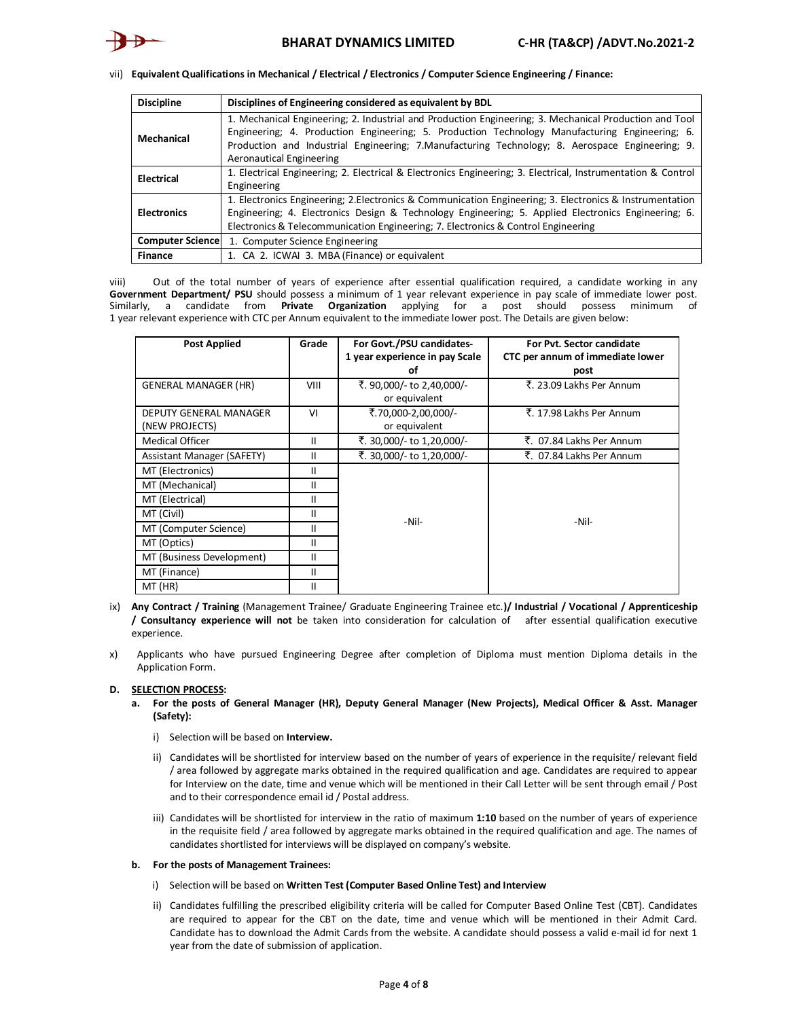vii) **Equivalent Qualifications in Mechanical / Electrical / Electronics / Computer Science Engineering / Finance:**

| <b>Discipline</b>       | Disciplines of Engineering considered as equivalent by BDL                                                   |
|-------------------------|--------------------------------------------------------------------------------------------------------------|
|                         | 1. Mechanical Engineering; 2. Industrial and Production Engineering; 3. Mechanical Production and Tool       |
| Mechanical              | Engineering; 4. Production Engineering; 5. Production Technology Manufacturing Engineering; 6.               |
|                         | Production and Industrial Engineering; 7. Manufacturing Technology; 8. Aerospace Engineering; 9.             |
|                         | Aeronautical Engineering                                                                                     |
| Electrical              | 1. Electrical Engineering; 2. Electrical & Electronics Engineering; 3. Electrical, Instrumentation & Control |
|                         | Engineering                                                                                                  |
|                         | 1. Electronics Engineering; 2. Electronics & Communication Engineering; 3. Electronics & Instrumentation     |
| <b>Electronics</b>      | Engineering; 4. Electronics Design & Technology Engineering; 5. Applied Electronics Engineering; 6.          |
|                         | Electronics & Telecommunication Engineering; 7. Electronics & Control Engineering                            |
| <b>Computer Science</b> | 1. Computer Science Engineering                                                                              |
| <b>Finance</b>          | 1. CA 2. ICWAI 3. MBA (Finance) or equivalent                                                                |

viii) Out of the total number of years of experience after essential qualification required, a candidate working in any Government Department/ PSU should possess a minimum of 1 year relevant experience in pay scale of immediate lower post. Similarly, a candidate from **Private Organization** applying for a post should possess minimum of 1 year relevant experience with CTC per Annum equivalent to the immediate lower post. The Details are given below:

| <b>Post Applied</b>                      | Grade | For Govt./PSU candidates-<br>1 year experience in pay Scale<br>οf | For Pvt. Sector candidate<br>CTC per annum of immediate lower<br>post |
|------------------------------------------|-------|-------------------------------------------------------------------|-----------------------------------------------------------------------|
| <b>GENERAL MANAGER (HR)</b>              | VIII  | ₹. 90,000/- to 2,40,000/-<br>or equivalent                        | ₹. 23.09 Lakhs Per Annum                                              |
| DEPUTY GENERAL MANAGER<br>(NEW PROJECTS) | VI    | ₹.70,000-2,00,000/-<br>or equivalent                              | ₹. 17.98 Lakhs Per Annum                                              |
| Medical Officer                          | Ш     | ₹. 30,000/- to 1,20,000/-                                         | ₹. 07.84 Lakhs Per Annum                                              |
| Assistant Manager (SAFETY)               | Ш     | ₹. 30,000/- to 1,20,000/-                                         | ₹. 07.84 Lakhs Per Annum                                              |
| MT (Electronics)                         | Ш     |                                                                   |                                                                       |
| MT (Mechanical)                          | Ш     |                                                                   |                                                                       |
| MT (Electrical)                          | Ш     |                                                                   |                                                                       |
| MT (Civil)                               | Ш     | -Nil-                                                             | -Nil-                                                                 |
| MT (Computer Science)                    | Ш     |                                                                   |                                                                       |
| MT (Optics)<br>Ш                         |       |                                                                   |                                                                       |
| MT (Business Development)<br>Ш           |       |                                                                   |                                                                       |
| MT (Finance)                             | Ш     |                                                                   |                                                                       |
| MT (HR)                                  | Ш     |                                                                   |                                                                       |

- ix) **Any Contract / Training** (Management Trainee/ Graduate Engineering Trainee etc.**)/ Industrial / Vocational / Apprenticeship / Consultancy experience will not** be taken into consideration for calculation of after essential qualification executive experience.
- x) Applicants who have pursued Engineering Degree after completion of Diploma must mention Diploma details in the Application Form.

### **D. SELECTION PROCESS:**

- **a. For the posts of General Manager (HR), Deputy General Manager (New Projects), Medical Officer & Asst. Manager (Safety):**
	- i) Selection will be based on **Interview.**
	- ii) Candidates will be shortlisted for interview based on the number of years of experience in the requisite/ relevant field / area followed by aggregate marks obtained in the required qualification and age. Candidates are required to appear for Interview on the date, time and venue which will be mentioned in their Call Letter will be sent through email / Post and to their correspondence email id / Postal address.
	- iii) Candidates will be shortlisted for interview in the ratio of maximum **1:10** based on the number of years of experience in the requisite field / area followed by aggregate marks obtained in the required qualification and age. The names of candidates shortlisted for interviews will be displayed on company's website.

### **b. For the posts of Management Trainees:**

- i) Selection will be based on **Written Test (Computer Based Online Test) and Interview**
- ii) Candidates fulfilling the prescribed eligibility criteria will be called for Computer Based Online Test (CBT). Candidates are required to appear for the CBT on the date, time and venue which will be mentioned in their Admit Card. Candidate has to download the Admit Cards from the website. A candidate should possess a valid e-mail id for next 1 year from the date of submission of application.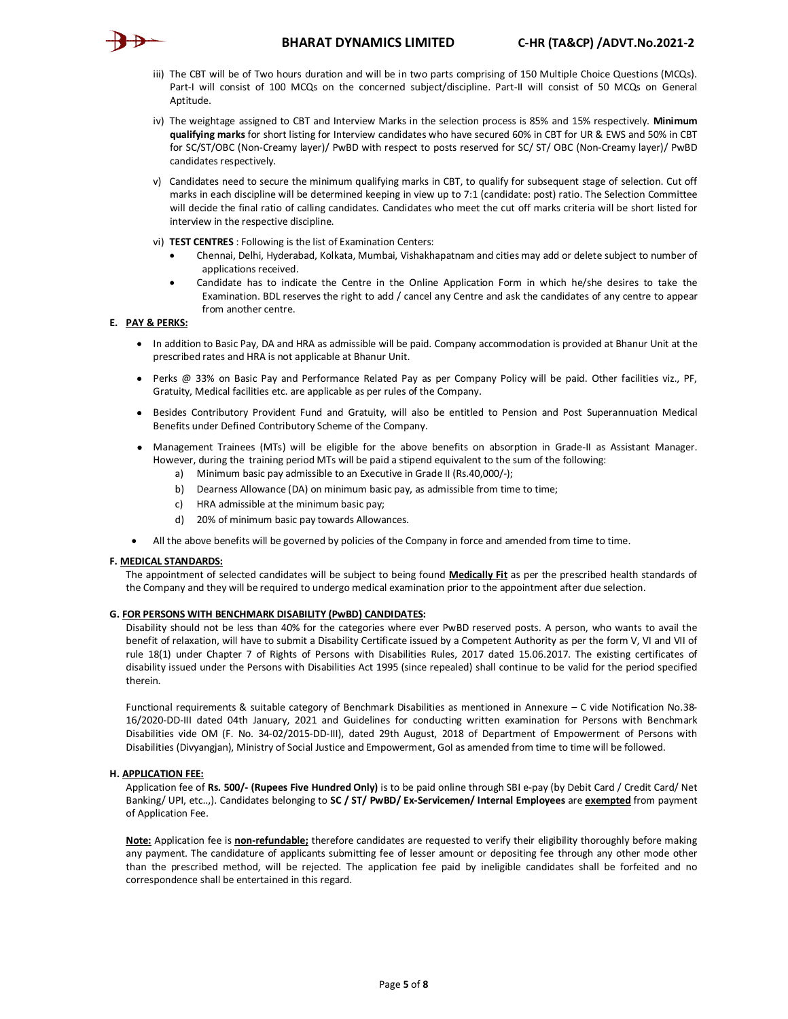

- iii) The CBT will be of Two hours duration and will be in two parts comprising of 150 Multiple Choice Questions (MCQs). Part-I will consist of 100 MCQs on the concerned subject/discipline. Part-II will consist of 50 MCQs on General Aptitude.
- iv) The weightage assigned to CBT and Interview Marks in the selection process is 85% and 15% respectively. **Minimum qualifying marks** for short listing for Interview candidates who have secured 60% in CBT for UR & EWS and 50% in CBT for SC/ST/OBC (Non-Creamy layer)/ PwBD with respect to posts reserved for SC/ ST/ OBC (Non-Creamy layer)/ PwBD candidates respectively.
- v) Candidates need to secure the minimum qualifying marks in CBT, to qualify for subsequent stage of selection. Cut off marks in each discipline will be determined keeping in view up to 7:1 (candidate: post) ratio. The Selection Committee will decide the final ratio of calling candidates. Candidates who meet the cut off marks criteria will be short listed for interview in the respective discipline.
- vi) **TEST CENTRES** : Following is the list of Examination Centers:
	- Chennai, Delhi, Hyderabad, Kolkata, Mumbai, Vishakhapatnam and cities may add or delete subject to number of applications received.
	- Candidate has to indicate the Centre in the Online Application Form in which he/she desires to take the Examination. BDL reserves the right to add / cancel any Centre and ask the candidates of any centre to appear from another centre.

## **E. PAY & PERKS:**

- In addition to Basic Pay, DA and HRA as admissible will be paid. Company accommodation is provided at Bhanur Unit at the prescribed rates and HRA is not applicable at Bhanur Unit.
- Perks @ 33% on Basic Pay and Performance Related Pay as per Company Policy will be paid. Other facilities viz., PF, Gratuity, Medical facilities etc. are applicable as per rules of the Company.
- Besides Contributory Provident Fund and Gratuity, will also be entitled to Pension and Post Superannuation Medical Benefits under Defined Contributory Scheme of the Company.
- Management Trainees (MTs) will be eligible for the above benefits on absorption in Grade-II as Assistant Manager. However, during the training period MTs will be paid a stipend equivalent to the sum of the following:
	- a) Minimum basic pay admissible to an Executive in Grade II (Rs.40,000/-);
	- b) Dearness Allowance (DA) on minimum basic pay, as admissible from time to time;
	- c) HRA admissible at the minimum basic pay;
	- d) 20% of minimum basic pay towards Allowances.
- All the above benefits will be governed by policies of the Company in force and amended from time to time.

### **F. MEDICAL STANDARDS:**

The appointment of selected candidates will be subject to being found **Medically Fit** as per the prescribed health standards of the Company and they will be required to undergo medical examination prior to the appointment after due selection.

### **G. FOR PERSONS WITH BENCHMARK DISABILITY (PwBD) CANDIDATES:**

Disability should not be less than 40% for the categories where ever PwBD reserved posts. A person, who wants to avail the benefit of relaxation, will have to submit a Disability Certificate issued by a Competent Authority as per the form V, VI and VII of rule 18(1) under Chapter 7 of Rights of Persons with Disabilities Rules, 2017 dated 15.06.2017. The existing certificates of disability issued under the Persons with Disabilities Act 1995 (since repealed) shall continue to be valid for the period specified therein.

Functional requirements & suitable category of Benchmark Disabilities as mentioned in Annexure – C vide Notification No.38- 16/2020-DD-III dated 04th January, 2021 and Guidelines for conducting written examination for Persons with Benchmark Disabilities vide OM (F. No. 34-02/2015-DD-III), dated 29th August, 2018 of Department of Empowerment of Persons with Disabilities (Divyangjan), Ministry of Social Justice and Empowerment, GoI as amended from time to time will be followed.

### **H. APPLICATION FEE:**

Application fee of **Rs. 500/- (Rupees Five Hundred Only)** is to be paid online through SBI e-pay (by Debit Card / Credit Card/ Net Banking/ UPI, etc..,). Candidates belonging to **SC / ST/ PwBD/ Ex-Servicemen/ Internal Employees** are **exempted** from payment of Application Fee.

**Note:** Application fee is **non-refundable;** therefore candidates are requested to verify their eligibility thoroughly before making any payment. The candidature of applicants submitting fee of lesser amount or depositing fee through any other mode other than the prescribed method, will be rejected. The application fee paid by ineligible candidates shall be forfeited and no correspondence shall be entertained in this regard.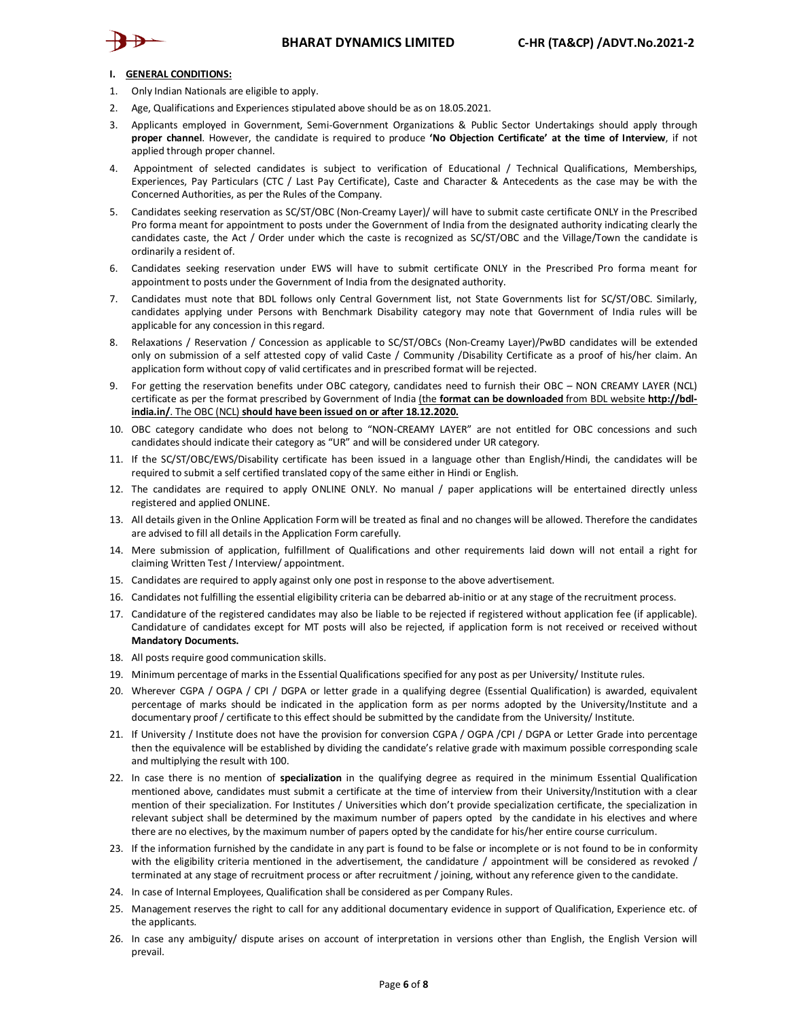# **BHARAT DYNAMICS LIMITED C-HR (TA&CP) /ADVT.No.2021-2**



#### **I. GENERAL CONDITIONS:**

- 1. Only Indian Nationals are eligible to apply.
- 2. Age, Qualifications and Experiences stipulated above should be as on 18.05.2021.
- 3. Applicants employed in Government, Semi-Government Organizations & Public Sector Undertakings should apply through **proper channel**. However, the candidate is required to produce **'No Objection Certificate' at the time of Interview**, if not applied through proper channel.
- 4. Appointment of selected candidates is subject to verification of Educational / Technical Qualifications, Memberships, Experiences, Pay Particulars (CTC / Last Pay Certificate), Caste and Character & Antecedents as the case may be with the Concerned Authorities, as per the Rules of the Company.
- 5. Candidates seeking reservation as SC/ST/OBC (Non-Creamy Layer)/ will have to submit caste certificate ONLY in the Prescribed Pro forma meant for appointment to posts under the Government of India from the designated authority indicating clearly the candidates caste, the Act / Order under which the caste is recognized as SC/ST/OBC and the Village/Town the candidate is ordinarily a resident of.
- 6. Candidates seeking reservation under EWS will have to submit certificate ONLY in the Prescribed Pro forma meant for appointment to posts under the Government of India from the designated authority.
- 7. Candidates must note that BDL follows only Central Government list, not State Governments list for SC/ST/OBC. Similarly, candidates applying under Persons with Benchmark Disability category may note that Government of India rules will be applicable for any concession in this regard.
- 8. Relaxations / Reservation / Concession as applicable to SC/ST/OBCs (Non-Creamy Layer)/PwBD candidates will be extended only on submission of a self attested copy of valid Caste / Community /Disability Certificate as a proof of his/her claim. An application form without copy of valid certificates and in prescribed format will be rejected.
- 9. For getting the reservation benefits under OBC category, candidates need to furnish their OBC NON CREAMY LAYER (NCL) certificate as per the format prescribed by Government of India (the **format can be downloaded** from BDL website **[http://bdl](http://bdl-)india.in/**. The OBC (NCL) **should have been issued on or after 18.12.2020.**
- 10. OBC category candidate who does not belong to "NON-CREAMY LAYER" are not entitled for OBC concessions and such candidates should indicate their category as "UR" and will be considered under UR category.
- 11. If the SC/ST/OBC/EWS/Disability certificate has been issued in a language other than English/Hindi, the candidates will be required to submit a self certified translated copy of the same either in Hindi or English.
- 12. The candidates are required to apply ONLINE ONLY. No manual / paper applications will be entertained directly unless registered and applied ONLINE.
- 13. All details given in the Online Application Form will be treated as final and no changes will be allowed. Therefore the candidates are advised to fill all details in the Application Form carefully.
- 14. Mere submission of application, fulfillment of Qualifications and other requirements laid down will not entail a right for claiming Written Test / Interview/ appointment.
- 15. Candidates are required to apply against only one post in response to the above advertisement.
- 16. Candidates not fulfilling the essential eligibility criteria can be debarred ab-initio or at any stage of the recruitment process.
- 17. Candidature of the registered candidates may also be liable to be rejected if registered without application fee (if applicable). Candidature of candidates except for MT posts will also be rejected, if application form is not received or received without **Mandatory Documents.**
- 18. All posts require good communication skills.
- 19. Minimum percentage of marks in the Essential Qualifications specified for any post as per University/ Institute rules.
- 20. Wherever CGPA / OGPA / CPI / DGPA or letter grade in a qualifying degree (Essential Qualification) is awarded, equivalent percentage of marks should be indicated in the application form as per norms adopted by the University/Institute and a documentary proof / certificate to this effect should be submitted by the candidate from the University/ Institute.
- 21. If University / Institute does not have the provision for conversion CGPA / OGPA /CPI / DGPA or Letter Grade into percentage then the equivalence will be established by dividing the candidate's relative grade with maximum possible corresponding scale and multiplying the result with 100.
- 22. In case there is no mention of **specialization** in the qualifying degree as required in the minimum Essential Qualification mentioned above, candidates must submit a certificate at the time of interview from their University/Institution with a clear mention of their specialization. For Institutes / Universities which don't provide specialization certificate, the specialization in relevant subject shall be determined by the maximum number of papers opted by the candidate in his electives and where there are no electives, by the maximum number of papers opted by the candidate for his/her entire course curriculum.
- 23. If the information furnished by the candidate in any part is found to be false or incomplete or is not found to be in conformity with the eligibility criteria mentioned in the advertisement, the candidature / appointment will be considered as revoked / terminated at any stage of recruitment process or after recruitment / joining, without any reference given to the candidate.
- 24. In case of Internal Employees, Qualification shall be considered as per Company Rules.
- 25. Management reserves the right to call for any additional documentary evidence in support of Qualification, Experience etc. of the applicants.
- 26. In case any ambiguity/ dispute arises on account of interpretation in versions other than English, the English Version will prevail.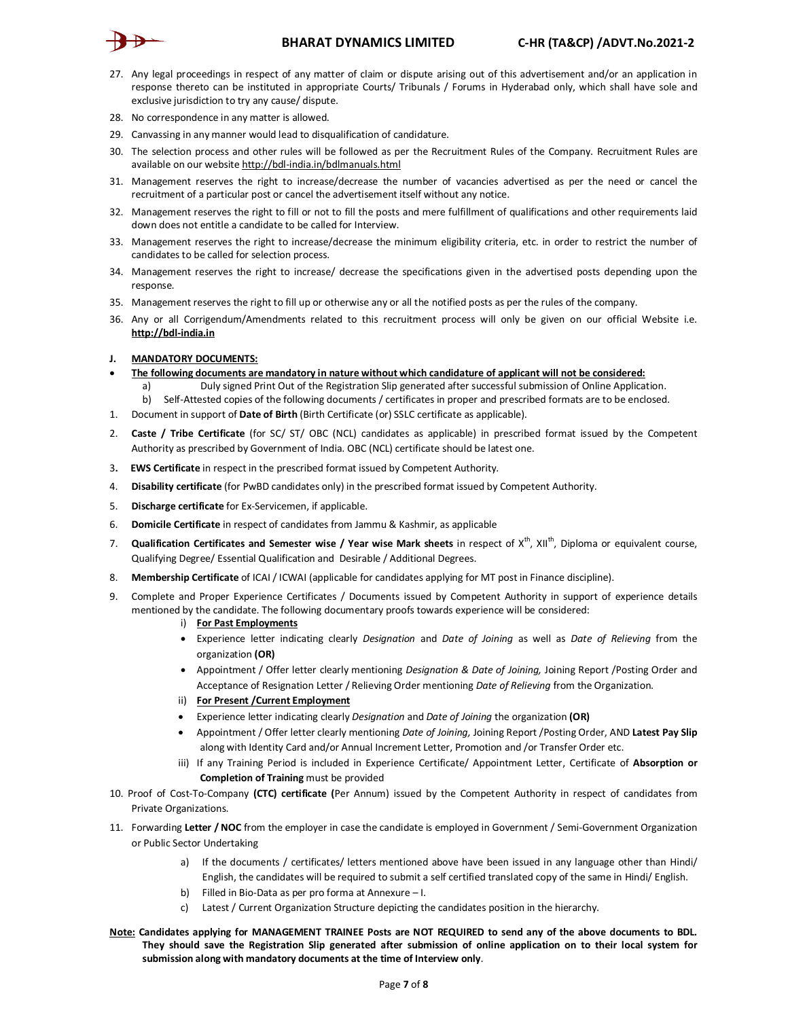

- 27. Any legal proceedings in respect of any matter of claim or dispute arising out of this advertisement and/or an application in response thereto can be instituted in appropriate Courts/ Tribunals / Forums in Hyderabad only, which shall have sole and exclusive jurisdiction to try any cause/ dispute.
- 28. No correspondence in any matter is allowed.
- 29. Canvassing in any manner would lead to disqualification of candidature.
- 30. The selection process and other rules will be followed as per the Recruitment Rules of the Company. Recruitment Rules are available on our website<http://bdl-india.in/bdlmanuals.html>
- 31. Management reserves the right to increase/decrease the number of vacancies advertised as per the need or cancel the recruitment of a particular post or cancel the advertisement itself without any notice.
- 32. Management reserves the right to fill or not to fill the posts and mere fulfillment of qualifications and other requirements laid down does not entitle a candidate to be called for Interview.
- 33. Management reserves the right to increase/decrease the minimum eligibility criteria, etc. in order to restrict the number of candidates to be called for selection process.
- 34. Management reserves the right to increase/ decrease the specifications given in the advertised posts depending upon the response.
- 35. Management reserves the right to fill up or otherwise any or all the notified posts as per the rules of the company.
- 36. Any or all Corrigendum/Amendments related to this recruitment process will only be given on our official Website i.e. **<http://bdl-india.in>**

## **J. MANDATORY DOCUMENTS:**

- **The following documents are mandatory in nature without which candidature of applicant will not be considered:**
	- a) Duly signed Print Out of the Registration Slip generated after successful submission of Online Application.
	- b) Self-Attested copies of the following documents / certificates in proper and prescribed formats are to be enclosed.
- 1. Document in support of **Date of Birth** (Birth Certificate (or) SSLC certificate as applicable).
- 2. **Caste / Tribe Certificate** (for SC/ ST/ OBC (NCL) candidates as applicable) in prescribed format issued by the Competent Authority as prescribed by Government of India. OBC (NCL) certificate should be latest one.
- 3**. EWS Certificate** in respect in the prescribed format issued by Competent Authority.
- 4. **Disability certificate** (for PwBD candidates only) in the prescribed format issued by Competent Authority.
- 5. **Discharge certificate** for Ex-Servicemen, if applicable.
- 6. **Domicile Certificate** in respect of candidates from Jammu & Kashmir, as applicable
- 7. **Qualification Certificates and Semester wise / Year wise Mark sheets** in respect of X th, XIIth , Diploma or equivalent course, Qualifying Degree/ Essential Qualification and Desirable / Additional Degrees.
- 8. **Membership Certificate** of ICAI / ICWAI (applicable for candidates applying for MT post in Finance discipline).
- 9. Complete and Proper Experience Certificates / Documents issued by Competent Authority in support of experience details mentioned by the candidate. The following documentary proofs towards experience will be considered:

## i) **For Past Employments**

- Experience letter indicating clearly *Designation* and *Date of Joining* as well as *Date of Relieving* from the organization **(OR)**
- Appointment / Offer letter clearly mentioning *Designation & Date of Joining,* Joining Report /Posting Order and Acceptance of Resignation Letter / Relieving Order mentioning *Date of Relieving* from the Organization.
- ii) **For Present /Current Employment**
- Experience letter indicating clearly *Designation* and *Date of Joining* the organization **(OR)**
- Appointment / Offer letter clearly mentioning *Date of Joining,* Joining Report /Posting Order, AND **Latest Pay Slip** along with Identity Card and/or Annual Increment Letter, Promotion and /or Transfer Order etc.
- iii) If any Training Period is included in Experience Certificate/ Appointment Letter, Certificate of **Absorption or Completion of Training** must be provided
- 10. Proof of Cost-To-Company **(CTC) certificate (**Per Annum) issued by the Competent Authority in respect of candidates from Private Organizations.
- 11. Forwarding **Letter / NOC** from the employer in case the candidate is employed in Government / Semi-Government Organization or Public Sector Undertaking
	- a) If the documents / certificates/ letters mentioned above have been issued in any language other than Hindi/ English, the candidates will be required to submit a self certified translated copy of the same in Hindi/ English.
	- b) Filled in Bio-Data as per pro forma at Annexure I.
	- c) Latest / Current Organization Structure depicting the candidates position in the hierarchy.
- **Note: Candidates applying for MANAGEMENT TRAINEE Posts are NOT REQUIRED to send any of the above documents to BDL. They should save the Registration Slip generated after submission of online application on to their local system for submission along with mandatory documents at the time of Interview only**.